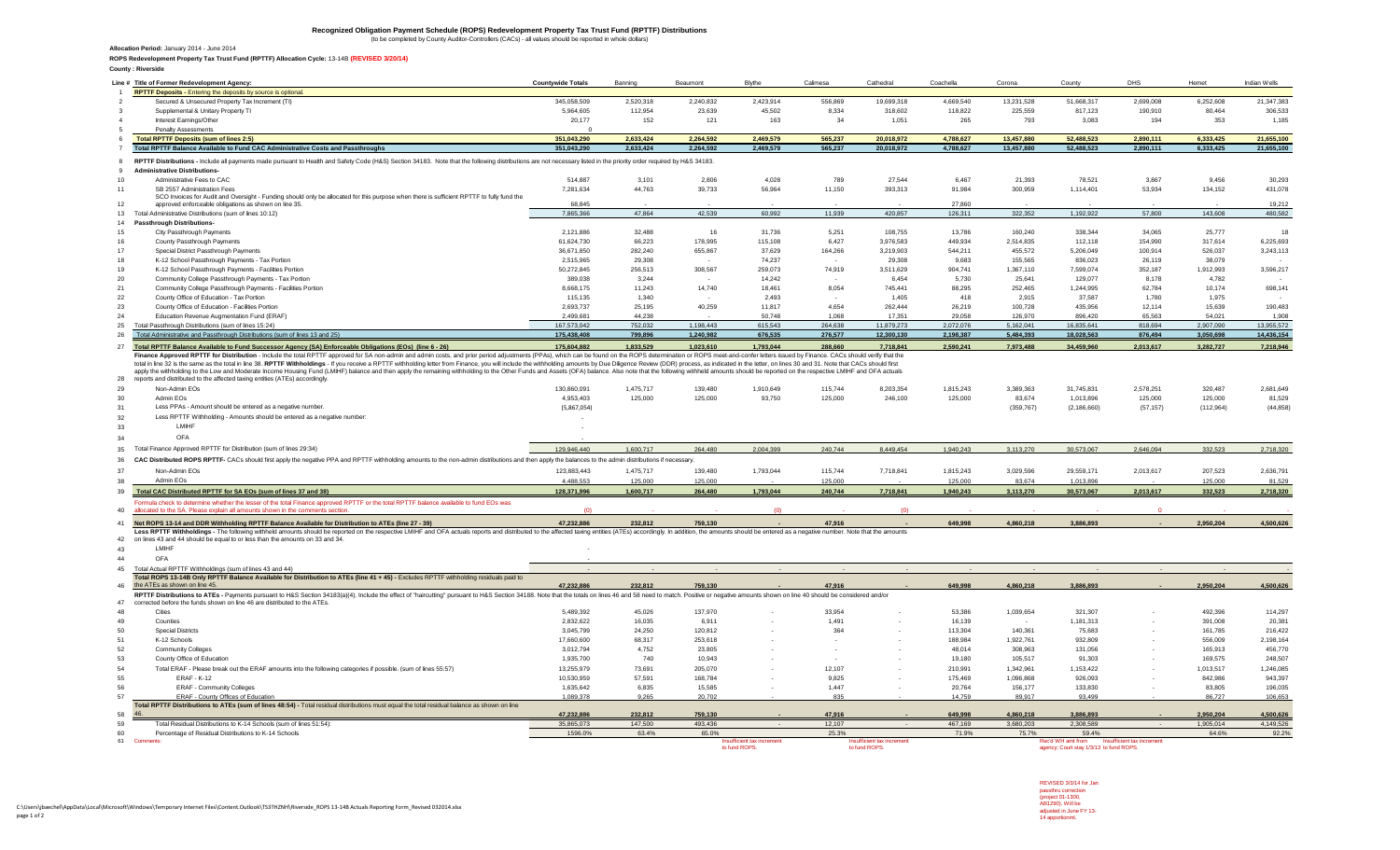## Recognized Obligation Payment Schedule (ROPS) Redevelopment Property Tax Trust Fund (RPTTF) Distributions<br>(to be completed by County Auditor-Controllers (CACs) - all values should be reported in whole dollars)

**Allocation Period:** January 2014 - June 2014

**ROPS Redevelopment Property Tax Trust Fund (RPTTF) Allocation Cycle:** 13-14B **(REVISED 3/20/14)**

| <b>RPTTF Deposits - Entering the deposits by source is optional</b><br>Secured & Unsecured Property Tax Increment (TI)<br>Supplemental & Unitary Property TI<br>Interest Earnings/Other<br>Penalty Assessments<br><b>Total RPTTF Deposits (sum of lines 2:5)</b><br>Total RPTTF Balance Available to Fund CAC Administrative Costs and Passthroughs<br>RPTTF Distributions - Include all payments made pursuant to Health and Safety Code (H&S) Section 34183. Note that the following distributions are not necessary listed in the priority order required by H&S 34183. | 345,058,509                             | Banning                           | Beaumont                      | <b>Blythe</b>          | Calimesa                      | Cathedral              | Coachella                         | Corona                           | County                                | <b>DHS</b>             | Hemet                         | Indian Wells                                                                                                                                                  |
|----------------------------------------------------------------------------------------------------------------------------------------------------------------------------------------------------------------------------------------------------------------------------------------------------------------------------------------------------------------------------------------------------------------------------------------------------------------------------------------------------------------------------------------------------------------------------|-----------------------------------------|-----------------------------------|-------------------------------|------------------------|-------------------------------|------------------------|-----------------------------------|----------------------------------|---------------------------------------|------------------------|-------------------------------|---------------------------------------------------------------------------------------------------------------------------------------------------------------|
|                                                                                                                                                                                                                                                                                                                                                                                                                                                                                                                                                                            |                                         |                                   |                               |                        |                               |                        |                                   |                                  |                                       |                        |                               |                                                                                                                                                               |
|                                                                                                                                                                                                                                                                                                                                                                                                                                                                                                                                                                            |                                         | 2,520,318                         | 2,240,832                     | 2,423,914              | 556,869                       | 19,699,318             | 4,669,540                         | 13,231,528                       | 51,668,317                            | 2,699,008              | 6,252,608                     | 21.347.383                                                                                                                                                    |
|                                                                                                                                                                                                                                                                                                                                                                                                                                                                                                                                                                            | 5,964,605                               | 112,954                           | 23,639                        | 45,502                 | 8,334                         | 318,602                | 118,822                           | 225,559                          | 817,123                               | 190,910                | 80,464                        | 306,533                                                                                                                                                       |
|                                                                                                                                                                                                                                                                                                                                                                                                                                                                                                                                                                            | 20,177                                  | 152                               | 121                           | 163                    | 34                            | 1,051                  | 265                               | 793                              | 3,083                                 | 194                    | 353                           | 1,185                                                                                                                                                         |
|                                                                                                                                                                                                                                                                                                                                                                                                                                                                                                                                                                            |                                         |                                   |                               |                        |                               |                        |                                   |                                  |                                       |                        |                               |                                                                                                                                                               |
|                                                                                                                                                                                                                                                                                                                                                                                                                                                                                                                                                                            | 351,043,290                             | 2,633,424                         | 2,264,592                     | 2.469.579              | 565,237                       | 20,018,972             | 4.788.627                         | 13,457,880                       | 52,488,523                            | 2.890.111              | 6,333,425                     | 21,655,100                                                                                                                                                    |
|                                                                                                                                                                                                                                                                                                                                                                                                                                                                                                                                                                            | 351.043.290                             | 2.633.424                         | 2.264.592                     | 2,469,579              | 565,237                       | 20,018,972             | 4,788,627                         | 13,457,880                       | 52,488,523                            | 2,890,111              | 6,333,425                     | 21,655,100                                                                                                                                                    |
|                                                                                                                                                                                                                                                                                                                                                                                                                                                                                                                                                                            |                                         |                                   |                               |                        |                               |                        |                                   |                                  |                                       |                        |                               |                                                                                                                                                               |
| <b>Administrative Distributions-</b>                                                                                                                                                                                                                                                                                                                                                                                                                                                                                                                                       |                                         |                                   |                               |                        |                               |                        |                                   |                                  |                                       |                        |                               |                                                                                                                                                               |
| Administrative Fees to CAC                                                                                                                                                                                                                                                                                                                                                                                                                                                                                                                                                 | 514.887                                 | 3.101                             | 2,806                         | 4,028                  | 789                           | 27,544                 | 6,467                             | 21,393                           | 78,521                                | 3,867                  | 9,456                         | 30,293                                                                                                                                                        |
| SB 2557 Administration Fees                                                                                                                                                                                                                                                                                                                                                                                                                                                                                                                                                | 7,281,634                               | 44,763                            | 39,733                        | 56,964                 | 11,150                        | 393,313                | 91,984                            | 300,959                          | 1,114,401                             | 53,934                 | 134,152                       | 431,078                                                                                                                                                       |
| SCO Invoices for Audit and Oversight - Funding should only be allocated for this purpose when there is sufficient RPTTF to fully fund the<br>approved enforceable obligations as shown on line 35.                                                                                                                                                                                                                                                                                                                                                                         | 68.845                                  |                                   |                               |                        |                               |                        | 27.860                            |                                  |                                       |                        |                               | 19,212                                                                                                                                                        |
| Total Administrative Distributions (sum of lines 10:12)                                                                                                                                                                                                                                                                                                                                                                                                                                                                                                                    | 7,865,366                               | 47.864                            | 42.539                        | 60,992                 | 11,939                        | 420.857                | 126,311                           | 322,352                          | 1,192,922                             | 57,800                 | 143,608                       | 480,582                                                                                                                                                       |
| <b>Passthrough Distributions-</b>                                                                                                                                                                                                                                                                                                                                                                                                                                                                                                                                          |                                         |                                   |                               |                        |                               |                        |                                   |                                  |                                       |                        |                               |                                                                                                                                                               |
| City Passthrough Payments                                                                                                                                                                                                                                                                                                                                                                                                                                                                                                                                                  | 2,121,886                               | 32,488                            | 16                            | 31,736                 | 5,251                         | 108,755                | 13,786                            | 160,240                          | 338,344                               | 34,065                 | 25,777                        | 18                                                                                                                                                            |
| County Passthrough Payments                                                                                                                                                                                                                                                                                                                                                                                                                                                                                                                                                | 61,624,730                              | 66,223                            | 178,995                       | 115.108                | 6,427                         | 3,976,583              | 449,934                           | 2,514,835                        | 112,118                               | 154,990                | 317,614                       | 6,225,693                                                                                                                                                     |
| Special District Passthrough Payments                                                                                                                                                                                                                                                                                                                                                                                                                                                                                                                                      | 36,671,850                              | 282,240                           | 655,867                       | 37.629                 | 164,266                       | 3,219,903              | 544,211                           | 455,572                          | 5,206,049                             | 100,914                | 526,037                       | 3,243,113                                                                                                                                                     |
|                                                                                                                                                                                                                                                                                                                                                                                                                                                                                                                                                                            | 2,515,965                               | 29.308                            |                               | 74.237                 | $\sim$                        | 29,308                 | 9.683                             | 155,565                          | 836,023                               | 26,119                 | 38,079                        |                                                                                                                                                               |
| K-12 School Passthrough Payments - Tax Portion                                                                                                                                                                                                                                                                                                                                                                                                                                                                                                                             |                                         |                                   |                               |                        |                               |                        |                                   |                                  |                                       |                        |                               |                                                                                                                                                               |
| K-12 School Passthrough Payments - Facilities Portion                                                                                                                                                                                                                                                                                                                                                                                                                                                                                                                      | 50,272,845                              | 256,513                           | 308,567                       | 259,073                | 74,919                        | 3,511,629              | 904,741                           | 1,367,110                        | 7,599,074                             | 352,187                | 1,912,993                     | 3,596,217                                                                                                                                                     |
| Community College Passthrough Payments - Tax Portion                                                                                                                                                                                                                                                                                                                                                                                                                                                                                                                       | 389,038<br>8.668.175                    | 3,244<br>11.243                   | 14,740                        | 14,242<br>18.461       |                               | 6,454<br>745.441       | 5,730                             | 25,641<br>252.465                | 129,077<br>1.244.995                  | 8,178<br>62.784        | 4,782<br>10.174               |                                                                                                                                                               |
| Community College Passthrough Payments - Facilities Portion<br>County Office of Education - Tax Portion                                                                                                                                                                                                                                                                                                                                                                                                                                                                    | 115,135                                 | 1,340                             |                               | 2,493                  | 8,054                         | 1,405                  | 88,295<br>418                     | 2,915                            | 37,587                                | 1,780                  | 1,975                         | 698,141                                                                                                                                                       |
| County Office of Education - Facilities Portion                                                                                                                                                                                                                                                                                                                                                                                                                                                                                                                            | 2,693,737                               | 25.195                            | 40,259                        | 11,817                 | 4,654                         | 262,444                | 26,219                            | 100,728                          | 435,956                               | 12,114                 | 15,639                        | 190,483                                                                                                                                                       |
| Education Revenue Augmentation Fund (ERAF)                                                                                                                                                                                                                                                                                                                                                                                                                                                                                                                                 | 2.499.681                               | 44 238                            |                               | 50.748                 | 1.068                         | 17.351                 | 29.058                            | 126,970                          | 896.420                               | 65,563                 | 54.021                        | 1.908                                                                                                                                                         |
| Total Passthrough Distributions (sum of lines 15:24)                                                                                                                                                                                                                                                                                                                                                                                                                                                                                                                       | 167.573.042                             | 752.032                           | 1.198.443                     | 615.543                | 264.638                       | 11.879.273             | 2.072.076                         | 5.162.041                        | 16.835.641                            | 818.694                | 2.907.090                     | 13.955.572                                                                                                                                                    |
| Total Administrative and Passthrough Distributions (sum of lines 13 and 25)                                                                                                                                                                                                                                                                                                                                                                                                                                                                                                | 175.438.408                             | 799.896                           | 1.240.982                     | 676,535                | 276,577                       | 12.300.130             | 2,198,387                         | 5,484,393                        | 18,028,563                            | 876,494                | 3,050,698                     | 14,436,154                                                                                                                                                    |
| 27 Total RPTTF Balance Available to Fund Successor Agency (SA) Enforceable Obligations (EOs) (line 6 - 26)                                                                                                                                                                                                                                                                                                                                                                                                                                                                 | 175,604,882                             | 1,833,529                         | 1,023,610                     | 1,793,044              | 288,660                       | 7,718,841              | 2,590,241                         | 7,973,488                        | 34,459,960                            | 2,013,617              | 3,282,727                     | 7,218,946                                                                                                                                                     |
| Less RPTTF Withholding - Amounts should be entered as a negative number:<br><b>I MIHF</b><br>OFA<br>Total Finance Approved RPTTF for Distribution (sum of lines 29:34)<br>CAC Distributed ROPS RPTTF- CACs should first apply the negative PPA and RPTTF withholding amounts to the non-admin distributions and then apply the balances to the admin distributions if necessary.<br>Non-Admin FOs<br>Admin FOs                                                                                                                                                             | 129 946 440<br>123.883.443<br>4.488.553 | 1.600.717<br>1.475.717<br>125,000 | 264,480<br>139.480<br>125,000 | 2,004,399<br>1,793,044 | 240,744<br>115,744<br>125,000 | 8,449,454<br>7,718,841 | 1,940,243<br>1,815,243<br>125,000 | 3,113,270<br>3,029,596<br>83,674 | 30,573,067<br>29,559,171<br>1,013,896 | 2,646,094<br>2,013,617 | 332,523<br>207,523<br>125,000 | 2,718,320<br>2,636,791                                                                                                                                        |
|                                                                                                                                                                                                                                                                                                                                                                                                                                                                                                                                                                            |                                         |                                   |                               |                        |                               |                        |                                   |                                  |                                       |                        |                               | 81,529                                                                                                                                                        |
| Total CAC Distributed RPTTF for SA EOs (sum of lines 37 and 38)                                                                                                                                                                                                                                                                                                                                                                                                                                                                                                            | 128,371,996                             | 1,600,717                         | 264.480                       | 1,793,044              | 240.744                       | 7,718,841              | 1,940,243                         | 3,113,270                        | 30,573,067                            | 2,013,617              | 332,523                       | 2,718,320                                                                                                                                                     |
| Formula check to determine whether the lesser of the total Finance approved RPTTF or the total RPTTF balance available to fund EOs was<br>allocated to the SA. Please explain all amounts shown in the comments section                                                                                                                                                                                                                                                                                                                                                    | $\sqrt{2}$                              |                                   |                               | (n)                    |                               | (n)                    |                                   |                                  |                                       | $\sqrt{2}$             |                               |                                                                                                                                                               |
|                                                                                                                                                                                                                                                                                                                                                                                                                                                                                                                                                                            |                                         |                                   |                               |                        |                               |                        |                                   |                                  |                                       |                        |                               |                                                                                                                                                               |
| Net ROPS 13-14 and DDR Withholding RPTTF Balance Available for Distribution to ATEs (line 27 - 39)<br>Less RPTTF Withholdings - The following withheld amounts should be reported on the respective LMIHF and OFA actuals reports and distributed to the affected taxing entities (ATEs) accordingly. In addition, the amounts shoul                                                                                                                                                                                                                                       | 47,232,886                              | 232,812                           | 759,130                       |                        | 47.916                        |                        | 649.998                           | 4,860,218                        | 3,886,893                             |                        | 2,950,204                     | 4,500,626                                                                                                                                                     |
| on lines 43 and 44 should be equal to or less than the amounts on 33 and 34.<br>I MIHF                                                                                                                                                                                                                                                                                                                                                                                                                                                                                     |                                         |                                   |                               |                        |                               |                        |                                   |                                  |                                       |                        |                               |                                                                                                                                                               |
| OFA                                                                                                                                                                                                                                                                                                                                                                                                                                                                                                                                                                        |                                         |                                   |                               |                        |                               |                        |                                   |                                  |                                       |                        |                               |                                                                                                                                                               |
| Total Actual RPTTF Withholdings (sum of lines 43 and 44)                                                                                                                                                                                                                                                                                                                                                                                                                                                                                                                   | 47,232,886                              | 232,812                           | 759,130                       |                        | 47.916                        |                        | 649,998                           | 4,860,218                        | 3,886,893                             |                        | 2,950,204                     |                                                                                                                                                               |
| Total ROPS 13-14B Only RPTTF Balance Available for Distribution to ATEs (line 41 + 45) - Excludes RPTTF withholding residuals paid to<br>the ATEs as shown on line 45.                                                                                                                                                                                                                                                                                                                                                                                                     |                                         |                                   |                               |                        |                               |                        |                                   |                                  |                                       |                        |                               |                                                                                                                                                               |
| RPTTF Distributions to ATEs - Payments pursuant to H&S Section 34183(a)(4). Include the effect of "haircutting" pursuant to H&S Section 34183/a)(4). Include the effect of "haircutting" pursuant to H&S Section 34188. Note t                                                                                                                                                                                                                                                                                                                                             |                                         |                                   |                               |                        |                               |                        |                                   |                                  |                                       |                        |                               |                                                                                                                                                               |
|                                                                                                                                                                                                                                                                                                                                                                                                                                                                                                                                                                            |                                         |                                   |                               |                        |                               |                        |                                   |                                  |                                       |                        |                               |                                                                                                                                                               |
| Cities                                                                                                                                                                                                                                                                                                                                                                                                                                                                                                                                                                     | 5,489,392                               | 45,026                            | 137,970                       |                        | 33.954                        |                        | 53.386                            | 1,039,654                        | 321.307                               |                        | 492,396                       |                                                                                                                                                               |
| Counties                                                                                                                                                                                                                                                                                                                                                                                                                                                                                                                                                                   | 2,832,622                               | 16,035                            | 6,911                         |                        | 1,491                         |                        | 16,139                            | $\sim$                           | 1,181,313                             |                        | 391,008                       |                                                                                                                                                               |
| corrected before the funds shown on line 46 are distributed to the ATEs.<br><b>Special Districts</b>                                                                                                                                                                                                                                                                                                                                                                                                                                                                       | 3,045,799                               | 24,250                            | 120.812                       |                        | 364                           |                        | 113,304                           | 140,361                          | 75.683                                |                        | 161,785                       |                                                                                                                                                               |
| K-12 Schools                                                                                                                                                                                                                                                                                                                                                                                                                                                                                                                                                               | 17,660,600                              | 68.317                            | 253.618                       |                        |                               |                        | 188.984                           | 1.922.761                        | 932.809                               |                        | 556,009                       |                                                                                                                                                               |
| <b>Community Colleges</b>                                                                                                                                                                                                                                                                                                                                                                                                                                                                                                                                                  | 3,012,794                               | 4,752                             | 23,805                        |                        |                               |                        | 48,014                            | 308,963                          | 131,056                               |                        | 165,913                       |                                                                                                                                                               |
| County Office of Education                                                                                                                                                                                                                                                                                                                                                                                                                                                                                                                                                 | 1.935.700                               | 740                               | 10.943                        |                        |                               |                        | 19,180                            | 105.517                          | 91.303                                |                        | 169,575                       |                                                                                                                                                               |
|                                                                                                                                                                                                                                                                                                                                                                                                                                                                                                                                                                            | 13.255.979                              | 73,691                            | 205.070                       |                        | 12,107                        |                        | 210.991                           | 1.342.961                        |                                       |                        |                               |                                                                                                                                                               |
| Total ERAF - Please break out the ERAF amounts into the following categories if possible. (sum of lines 55:57)                                                                                                                                                                                                                                                                                                                                                                                                                                                             |                                         |                                   |                               |                        |                               |                        |                                   |                                  | 1,153,422                             |                        | 1,013,517                     |                                                                                                                                                               |
| <b>ERAF - K-12</b>                                                                                                                                                                                                                                                                                                                                                                                                                                                                                                                                                         | 10,530,959                              | 57,591                            | 168,784                       |                        | 9,825                         |                        | 175,469                           | 1,096,868                        | 926,093                               |                        | 842,986                       |                                                                                                                                                               |
| <b>ERAF - Community Colleges</b>                                                                                                                                                                                                                                                                                                                                                                                                                                                                                                                                           | 1,635,642                               | 6,835                             | 15,585                        |                        | 1,447                         |                        | 20,764                            | 156,177                          | 133,830                               |                        | 83.805                        |                                                                                                                                                               |
| ERAF - County Offices of Education<br>Total RPTTF Distributions to ATEs (sum of lines 48:54) - Total residual distributions must equal the total residual balance as shown on line                                                                                                                                                                                                                                                                                                                                                                                         | 1,089,378                               | 9,265                             | 20,702                        |                        | 835                           |                        | 14,759                            | 89.917                           | 93,499                                |                        | 86,727                        |                                                                                                                                                               |
|                                                                                                                                                                                                                                                                                                                                                                                                                                                                                                                                                                            | 47,232,886                              | 232,812                           | 759,130                       |                        | 47.916                        |                        | 649.998                           | 4,860,218                        | 3,886,893                             |                        | 2,950,204                     |                                                                                                                                                               |
| Total Residual Distributions to K-14 Schools (sum of lines 51:54):<br>Percentage of Residual Distributions to K-14 Schools                                                                                                                                                                                                                                                                                                                                                                                                                                                 | 35,865,073<br>1596.0%                   | 147,500<br>63.4%                  | 493,436<br>65.0%              |                        | 12,107<br>25.3%               |                        | 467,169<br>71.9%                  | 3,680,203<br>75.7%               | 2,308,589<br>59.4%                    |                        | 1,905,014<br>64.6%            | 4,500,626<br>114,297<br>20,381<br>216,422<br>2,198,164<br>456,770<br>248,507<br>1.246.085<br>943,397<br>196,035<br>106,653<br>4,500,626<br>4,149,526<br>92.2% |

Insufficient tax in

**Insufficient tax in** to fund ROPS.

Rec'd WH amt from lnsufficient tax increment<br>agency; Court stay 1/3/13 to fund ROPS.